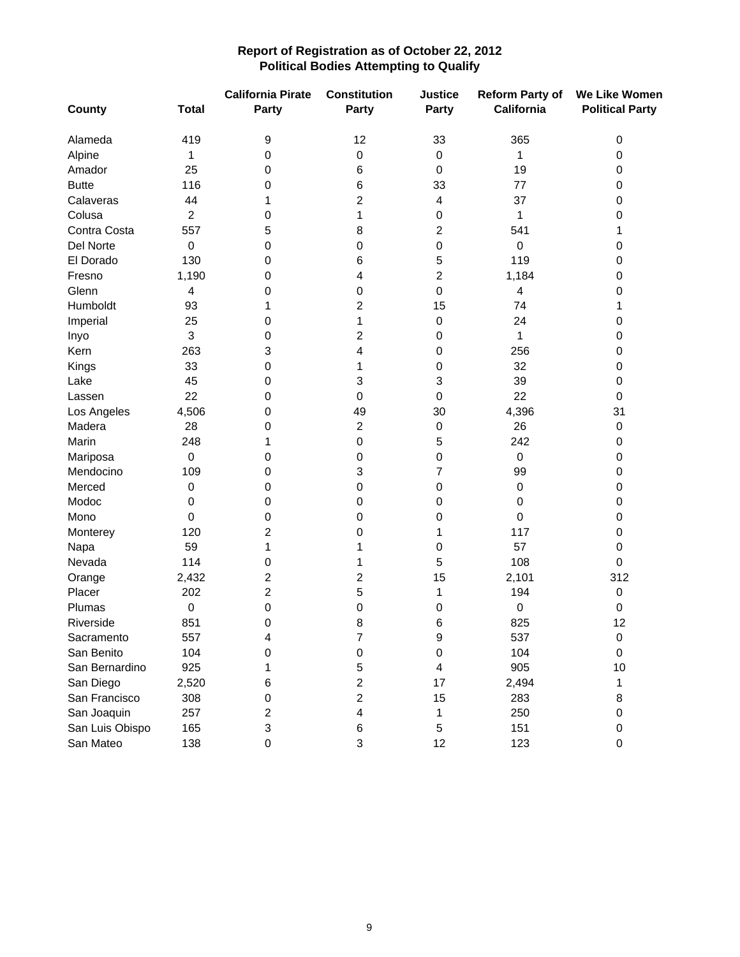## **Report of Registration as of October 22, 2012 Political Bodies Attempting to Qualify**

| <b>County</b>   | <b>Total</b>   | <b>California Pirate</b><br>Party | <b>Constitution</b><br><b>Party</b> | <b>Justice</b><br>Party | <b>Reform Party of</b><br>California | We Like Women<br><b>Political Party</b> |
|-----------------|----------------|-----------------------------------|-------------------------------------|-------------------------|--------------------------------------|-----------------------------------------|
| Alameda         | 419            | 9                                 | 12                                  | 33                      | 365                                  | $\pmb{0}$                               |
| Alpine          | 1              | 0                                 | 0                                   | 0                       | 1                                    | 0                                       |
| Amador          | 25             | 0                                 | 6                                   | 0                       | 19                                   | 0                                       |
| <b>Butte</b>    | 116            | 0                                 | 6                                   | 33                      | 77                                   | 0                                       |
| Calaveras       | 44             | 1                                 | 2                                   | 4                       | 37                                   | 0                                       |
| Colusa          | $\overline{c}$ | 0                                 | 1                                   | 0                       | 1                                    | 0                                       |
| Contra Costa    | 557            | 5                                 | 8                                   | $\overline{c}$          | 541                                  | 1                                       |
| Del Norte       | $\pmb{0}$      | 0                                 | 0                                   | 0                       | $\mathbf 0$                          | 0                                       |
| El Dorado       | 130            | 0                                 | 6                                   | 5                       | 119                                  | 0                                       |
| Fresno          | 1,190          | 0                                 | 4                                   | $\boldsymbol{2}$        | 1,184                                | 0                                       |
| Glenn           | 4              | 0                                 | 0                                   | 0                       | $\overline{\mathbf{4}}$              | 0                                       |
| Humboldt        | 93             | 1                                 | 2                                   | 15                      | 74                                   | 1                                       |
| Imperial        | 25             | 0                                 | 1                                   | 0                       | 24                                   | 0                                       |
| Inyo            | 3              | 0                                 | 2                                   | 0                       | 1                                    | 0                                       |
| Kern            | 263            | 3                                 | 4                                   | 0                       | 256                                  | 0                                       |
| Kings           | 33             | 0                                 | 1                                   | 0                       | 32                                   | 0                                       |
| Lake            | 45             | 0                                 | 3                                   | 3                       | 39                                   | 0                                       |
| Lassen          | 22             | 0                                 | 0                                   | 0                       | 22                                   | 0                                       |
| Los Angeles     | 4,506          | 0                                 | 49                                  | 30                      | 4,396                                | 31                                      |
| Madera          | 28             | 0                                 | $\overline{c}$                      | $\boldsymbol{0}$        | 26                                   | 0                                       |
| Marin           | 248            | 1                                 | 0                                   | 5                       | 242                                  | 0                                       |
| Mariposa        | $\pmb{0}$      | 0                                 | 0                                   | 0                       | $\pmb{0}$                            | 0                                       |
| Mendocino       | 109            | 0                                 | 3                                   | $\overline{7}$          | 99                                   | 0                                       |
| Merced          | 0              | 0                                 | 0                                   | 0                       | $\boldsymbol{0}$                     | 0                                       |
| Modoc           | 0              | 0                                 | 0                                   | 0                       | 0                                    | 0                                       |
| Mono            | 0              | 0                                 | 0                                   | 0                       | 0                                    | 0                                       |
| Monterey        | 120            | $\overline{c}$                    | 0                                   | 1                       | 117                                  | 0                                       |
| Napa            | 59             | 1                                 | 1                                   | 0                       | 57                                   | 0                                       |
| Nevada          | 114            | 0                                 | 1                                   | 5                       | 108                                  | 0                                       |
| Orange          | 2,432          | 2                                 | 2                                   | 15                      | 2,101                                | 312                                     |
| Placer          | 202            | $\overline{\mathbf{c}}$           | 5                                   | 1                       | 194                                  | $\pmb{0}$                               |
| Plumas          | 0              | 0                                 | 0                                   | 0                       | 0                                    | 0                                       |
| Riverside       | 851            | 0                                 | 8                                   | 6                       | 825                                  | 12                                      |
| Sacramento      | 557            | 4                                 | 7                                   | 9                       | 537                                  | $\pmb{0}$                               |
| San Benito      | 104            | 0                                 | 0                                   | 0                       | 104                                  | 0                                       |
| San Bernardino  | 925            | 1                                 | 5                                   | 4                       | 905                                  | 10                                      |
| San Diego       | 2,520          | 6                                 | $\overline{c}$                      | 17                      | 2,494                                | 1                                       |
| San Francisco   | 308            | 0                                 | $\overline{c}$                      | 15                      | 283                                  | 8                                       |
| San Joaquin     | 257            | 2                                 | 4                                   | 1                       | 250                                  | 0                                       |
| San Luis Obispo | 165            | 3                                 | 6                                   | 5                       | 151                                  | 0                                       |
| San Mateo       | 138            | 0                                 | 3                                   | 12                      | 123                                  | 0                                       |